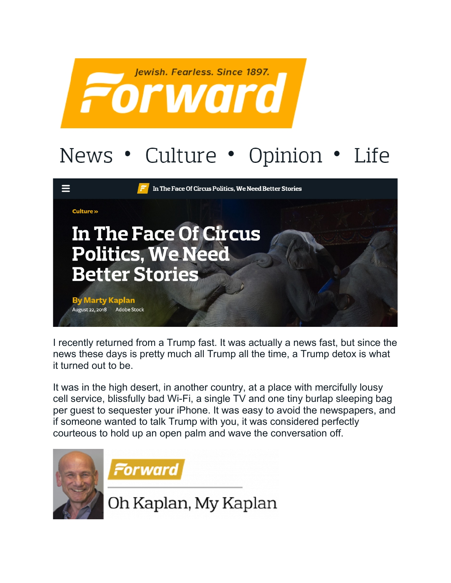

## News • Culture • Opinion • Life



I recently returned from a Trump fast. It was actually a news fast, but since the news these days is pretty much all Trump all the time, a Trump detox is what it turned out to be.

It was in the high desert, in another country, at a place with mercifully lousy cell service, blissfully bad Wi-Fi, a single TV and one tiny burlap sleeping bag per guest to sequester your iPhone. It was easy to avoid the newspapers, and if someone wanted to talk Trump with you, it was considered perfectly courteous to hold up an open palm and wave the conversation off.





Oh Kaplan, My Kaplan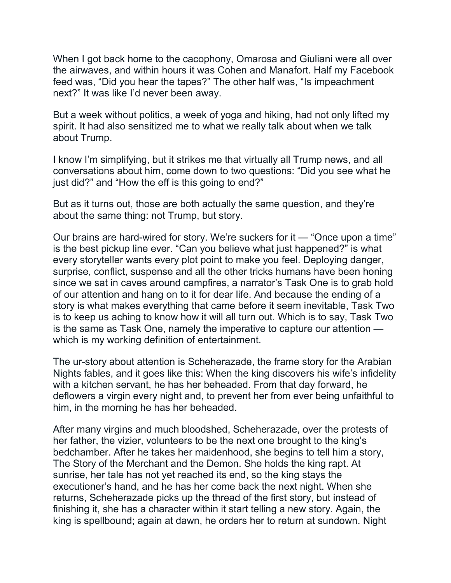When I got back home to the cacophony, Omarosa and Giuliani were all over the airwaves, and within hours it was Cohen and Manafort. Half my Facebook feed was, "Did you hear the tapes?" The other half was, "Is impeachment next?" It was like I'd never been away.

But a week without politics, a week of yoga and hiking, had not only lifted my spirit. It had also sensitized me to what we really talk about when we talk about Trump.

I know I'm simplifying, but it strikes me that virtually all Trump news, and all conversations about him, come down to two questions: "Did you see what he just did?" and "How the eff is this going to end?"

But as it turns out, those are both actually the same question, and they're about the same thing: not Trump, but story.

Our brains are hard-wired for story. We're suckers for it — "Once upon a time" is the best pickup line ever. "Can you believe what just happened?" is what every storyteller wants every plot point to make you feel. Deploying danger, surprise, conflict, suspense and all the other tricks humans have been honing since we sat in caves around campfires, a narrator's Task One is to grab hold of our attention and hang on to it for dear life. And because the ending of a story is what makes everything that came before it seem inevitable, Task Two is to keep us aching to know how it will all turn out. Which is to say, Task Two is the same as Task One, namely the imperative to capture our attention which is my working definition of entertainment.

The ur-story about attention is Scheherazade, the frame story for the Arabian Nights fables, and it goes like this: When the king discovers his wife's infidelity with a kitchen servant, he has her beheaded. From that day forward, he deflowers a virgin every night and, to prevent her from ever being unfaithful to him, in the morning he has her beheaded.

After many virgins and much bloodshed, Scheherazade, over the protests of her father, the vizier, volunteers to be the next one brought to the king's bedchamber. After he takes her maidenhood, she begins to tell him a story, The Story of the Merchant and the Demon. She holds the king rapt. At sunrise, her tale has not yet reached its end, so the king stays the executioner's hand, and he has her come back the next night. When she returns, Scheherazade picks up the thread of the first story, but instead of finishing it, she has a character within it start telling a new story. Again, the king is spellbound; again at dawn, he orders her to return at sundown. Night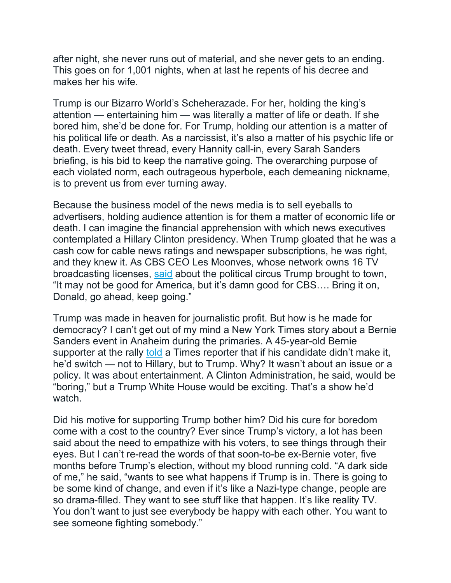after night, she never runs out of material, and she never gets to an ending. This goes on for 1,001 nights, when at last he repents of his decree and makes her his wife.

Trump is our Bizarro World's Scheherazade. For her, holding the king's attention — entertaining him — was literally a matter of life or death. If she bored him, she'd be done for. For Trump, holding our attention is a matter of his political life or death. As a narcissist, it's also a matter of his psychic life or death. Every tweet thread, every Hannity call-in, every Sarah Sanders briefing, is his bid to keep the narrative going. The overarching purpose of each violated norm, each outrageous hyperbole, each demeaning nickname, is to prevent us from ever turning away.

Because the business model of the news media is to sell eyeballs to advertisers, holding audience attention is for them a matter of economic life or death. I can imagine the financial apprehension with which news executives contemplated a Hillary Clinton presidency. When Trump gloated that he was a cash cow for cable news ratings and newspaper subscriptions, he was right, and they knew it. As CBS CEO Les Moonves, whose network owns 16 TV broadcasting licenses, [said](https://fair.org/home/trump-bad-for-america-good-for-cbs/) about the political circus Trump brought to town, "It may not be good for America, but it's damn good for CBS…. Bring it on, Donald, go ahead, keep going."

Trump was made in heaven for journalistic profit. But how is he made for democracy? I can't get out of my mind a New York Times story about a Bernie Sanders event in Anaheim during the primaries. A 45-year-old Bernie supporter at the rally [told](https://www.nytimes.com/2016/05/28/us/politics/bernie-sanders-hillary-clinton-fbi.html) a Times reporter that if his candidate didn't make it, he'd switch — not to Hillary, but to Trump. Why? It wasn't about an issue or a policy. It was about entertainment. A Clinton Administration, he said, would be "boring," but a Trump White House would be exciting. That's a show he'd watch.

Did his motive for supporting Trump bother him? Did his cure for boredom come with a cost to the country? Ever since Trump's victory, a lot has been said about the need to empathize with his voters, to see things through their eyes. But I can't re-read the words of that soon-to-be ex-Bernie voter, five months before Trump's election, without my blood running cold. "A dark side of me," he said, "wants to see what happens if Trump is in. There is going to be some kind of change, and even if it's like a Nazi-type change, people are so drama-filled. They want to see stuff like that happen. It's like reality TV. You don't want to just see everybody be happy with each other. You want to see someone fighting somebody."